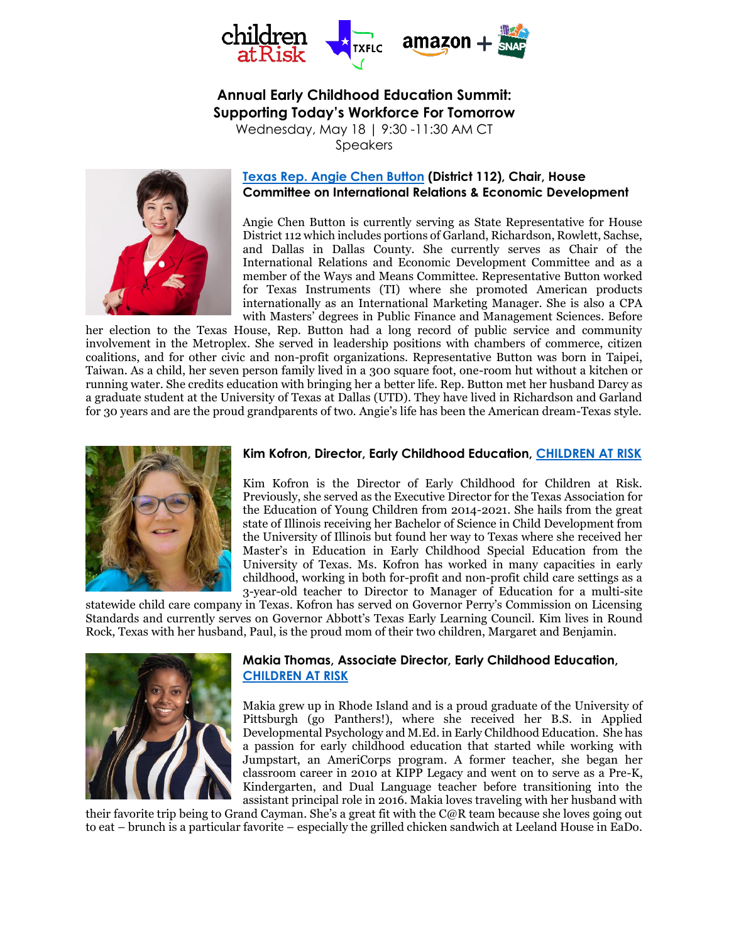

# **Annual Early Childhood Education Summit: Supporting Today's Workforce For Tomorrow**

Wednesday, May 18 | 9:30 -11:30 AM CT Speakers



# **Texas Rep. [Angie Chen Button](https://house.texas.gov/members/member-page/?district=112) (District 112), Chair, House Committee on International Relations & Economic Development**

Angie Chen Button is currently serving as State Representative for House District 112 which includes portions of Garland, Richardson, Rowlett, Sachse, and Dallas in Dallas County. She currently serves as Chair of the International Relations and Economic Development Committee and as a member of the Ways and Means Committee. Representative Button worked for Texas Instruments (TI) where she promoted American products internationally as an International Marketing Manager. She is also a CPA with Masters' degrees in Public Finance and Management Sciences. Before

her election to the Texas House, Rep. Button had a long record of public service and community involvement in the Metroplex. She served in leadership positions with chambers of commerce, citizen coalitions, and for other civic and non-profit organizations. Representative Button was born in Taipei, Taiwan. As a child, her seven person family lived in a 300 square foot, one-room hut without a kitchen or running water. She credits education with bringing her a better life. Rep. Button met her husband Darcy as a graduate student at the University of Texas at Dallas (UTD). They have lived in Richardson and Garland for 30 years and are the proud grandparents of two. Angie's life has been the American dream-Texas style.



#### **Kim Kofron, Director, Early Childhood Education, [CHILDREN AT RISK](https://childrenatrisk.org/ece/)**

Kim Kofron is the Director of Early Childhood for Children at Risk. Previously, she served as the Executive Director for the Texas Association for the Education of Young Children from 2014-2021. She hails from the great state of Illinois receiving her Bachelor of Science in Child Development from the University of Illinois but found her way to Texas where she received her Master's in Education in Early Childhood Special Education from the University of Texas. Ms. Kofron has worked in many capacities in early childhood, working in both for-profit and non-profit child care settings as a 3-year-old teacher to Director to Manager of Education for a multi-site

statewide child care company in Texas. Kofron has served on Governor Perry's Commission on Licensing Standards and currently serves on Governor Abbott's Texas Early Learning Council. Kim lives in Round Rock, Texas with her husband, Paul, is the proud mom of their two children, Margaret and Benjamin.



# **Makia Thomas, Associate Director, Early Childhood Education, [CHILDREN AT RISK](https://childrenatrisk.org/ece/)**

Makia grew up in Rhode Island and is a proud graduate of the University of Pittsburgh (go Panthers!), where she received her B.S. in Applied Developmental Psychology and M.Ed. in Early Childhood Education. She has a passion for early childhood education that started while working with Jumpstart, an AmeriCorps program. A former teacher, she began her classroom career in 2010 at KIPP Legacy and went on to serve as a Pre-K, Kindergarten, and Dual Language teacher before transitioning into the assistant principal role in 2016. Makia loves traveling with her husband with

their favorite trip being to Grand Cayman. She's a great fit with the C@R team because she loves going out to eat – brunch is a particular favorite – especially the grilled chicken sandwich at Leeland House in EaDo.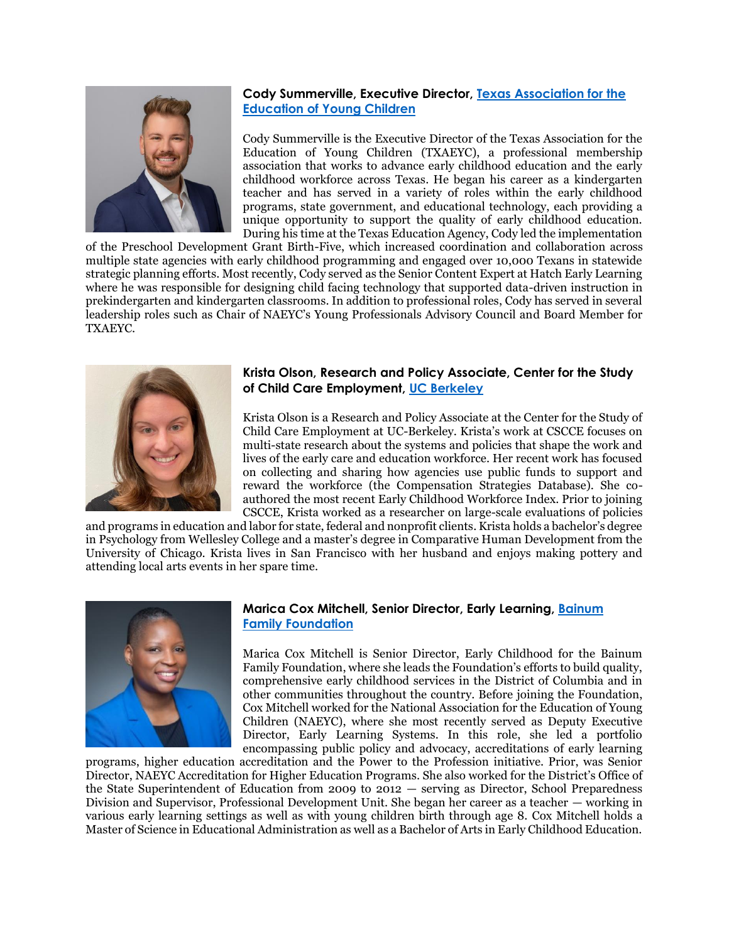

# **Cody Summerville, Executive Director, [Texas Association for the](http://www.texasaeyc.org/)  [Education of Young Children](http://www.texasaeyc.org/)**

Cody Summerville is the Executive Director of the Texas Association for the Education of Young Children (TXAEYC), a professional membership association that works to advance early childhood education and the early childhood workforce across Texas. He began his career as a kindergarten teacher and has served in a variety of roles within the early childhood programs, state government, and educational technology, each providing a unique opportunity to support the quality of early childhood education. During his time at the Texas Education Agency, Cody led the implementation

of the Preschool Development Grant Birth-Five, which increased coordination and collaboration across multiple state agencies with early childhood programming and engaged over 10,000 Texans in statewide strategic planning efforts. Most recently, Cody served as the Senior Content Expert at Hatch Early Learning where he was responsible for designing child facing technology that supported data-driven instruction in prekindergarten and kindergarten classrooms. In addition to professional roles, Cody has served in several leadership roles such as Chair of NAEYC's Young Professionals Advisory Council and Board Member for TXAEYC.



#### **Krista Olson, Research and Policy Associate, Center for the Study of Child Care Employment, [UC Berkeley](https://www.berkeley.edu/)**

Krista Olson is a Research and Policy Associate at the Center for the Study of Child Care Employment at UC-Berkeley. Krista's work at CSCCE focuses on multi-state research about the systems and policies that shape the work and lives of the early care and education workforce. Her recent work has focused on collecting and sharing how agencies use public funds to support and reward the workforce (the Compensation Strategies Database). She coauthored the most recent Early Childhood Workforce Index. Prior to joining CSCCE, Krista worked as a researcher on large-scale evaluations of policies

and programs in education and labor for state, federal and nonprofit clients. Krista holds a bachelor's degree in Psychology from Wellesley College and a master's degree in Comparative Human Development from the University of Chicago. Krista lives in San Francisco with her husband and enjoys making pottery and attending local arts events in her spare time.



#### **Marica Cox Mitchell, Senior Director, Early Learning, [Bainum](https://bainumfdn.org/)  [Family Foundation](https://bainumfdn.org/)**

Marica Cox Mitchell is Senior Director, Early Childhood for the Bainum Family Foundation, where she leads the Foundation's efforts to build quality, comprehensive early childhood services in the District of Columbia and in other communities throughout the country. Before joining the Foundation, Cox Mitchell worked for the National Association for the Education of Young Children (NAEYC), where she most recently served as Deputy Executive Director, Early Learning Systems. In this role, she led a portfolio encompassing public policy and advocacy, accreditations of early learning

programs, higher education accreditation and the Power to the Profession initiative. Prior, was Senior Director, NAEYC Accreditation for Higher Education Programs. She also worked for the District's Office of the State Superintendent of Education from 2009 to 2012 — serving as Director, School Preparedness Division and Supervisor, Professional Development Unit. She began her career as a teacher — working in various early learning settings as well as with young children birth through age 8. Cox Mitchell holds a Master of Science in Educational Administration as well as a Bachelor of Arts in Early Childhood Education.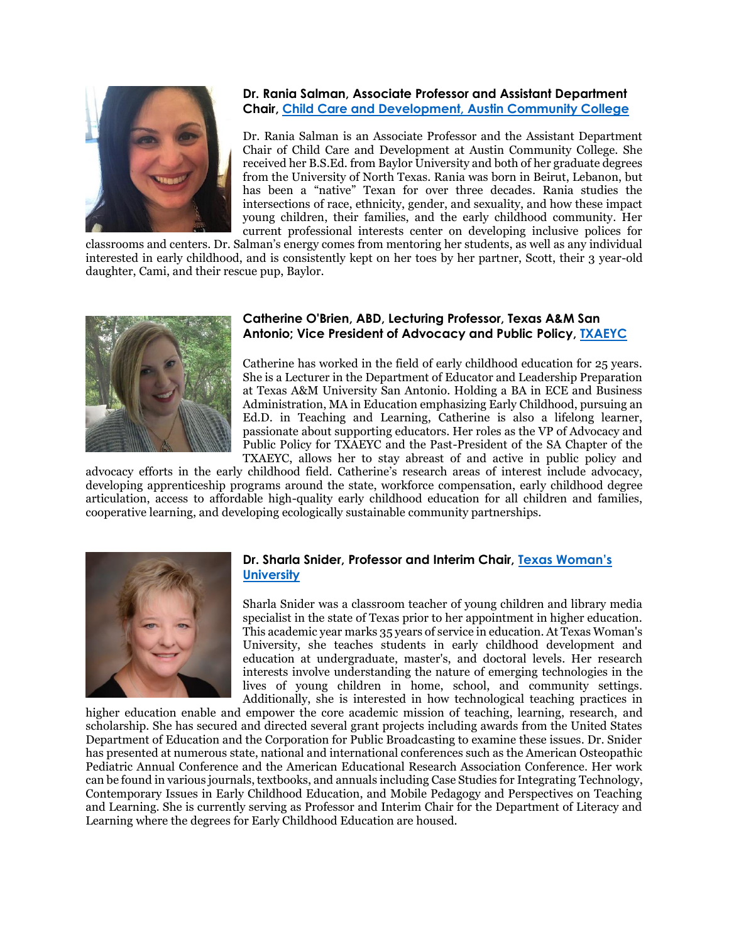

#### **Dr. Rania Salman, Associate Professor and Assistant Department Chair, [Child Care and Development, Austin Community College](https://www.austincc.edu/academic-and-career-programs/areas-of-study/education/child-care-and-development)**

Dr. Rania Salman is an Associate Professor and the Assistant Department Chair of Child Care and Development at Austin Community College. She received her B.S.Ed. from Baylor University and both of her graduate degrees from the University of North Texas. Rania was born in Beirut, Lebanon, but has been a "native" Texan for over three decades. Rania studies the intersections of race, ethnicity, gender, and sexuality, and how these impact young children, their families, and the early childhood community. Her current professional interests center on developing inclusive polices for

classrooms and centers. Dr. Salman's energy comes from mentoring her students, as well as any individual interested in early childhood, and is consistently kept on her toes by her partner, Scott, their 3 year-old daughter, Cami, and their rescue pup, Baylor.



#### **Catherine O'Brien, ABD, Lecturing Professor, Texas A&M San Antonio; Vice President of Advocacy and Public Policy, [TXAEYC](http://www.texasaeyc.org/)**

Catherine has worked in the field of early childhood education for 25 years. She is a Lecturer in the Department of Educator and Leadership Preparation at Texas A&M University San Antonio. Holding a BA in ECE and Business Administration, MA in Education emphasizing Early Childhood, pursuing an Ed.D. in Teaching and Learning, Catherine is also a lifelong learner, passionate about supporting educators. Her roles as the VP of Advocacy and Public Policy for TXAEYC and the Past-President of the SA Chapter of the TXAEYC, allows her to stay abreast of and active in public policy and

advocacy efforts in the early childhood field. Catherine's research areas of interest include advocacy, developing apprenticeship programs around the state, workforce compensation, early childhood degree articulation, access to affordable high-quality early childhood education for all children and families, cooperative learning, and developing ecologically sustainable community partnerships.



# **Dr. Sharla Snider, Professor and Interim Chair, [Texas Wom](https://twu.edu/)an's [University](https://twu.edu/)**

Sharla Snider was a classroom teacher of young children and library media specialist in the state of Texas prior to her appointment in higher education. This academic year marks 35 years of service in education. At Texas Woman's University, she teaches students in early childhood development and education at undergraduate, master's, and doctoral levels. Her research interests involve understanding the nature of emerging technologies in the lives of young children in home, school, and community settings. Additionally, she is interested in how technological teaching practices in

higher education enable and empower the core academic mission of teaching, learning, research, and scholarship. She has secured and directed several grant projects including awards from the United States Department of Education and the Corporation for Public Broadcasting to examine these issues. Dr. Snider has presented at numerous state, national and international conferences such as the American Osteopathic Pediatric Annual Conference and the American Educational Research Association Conference. Her work can be found in various journals, textbooks, and annuals including Case Studies for Integrating Technology, Contemporary Issues in Early Childhood Education, and Mobile Pedagogy and Perspectives on Teaching and Learning. She is currently serving as Professor and Interim Chair for the Department of Literacy and Learning where the degrees for Early Childhood Education are housed.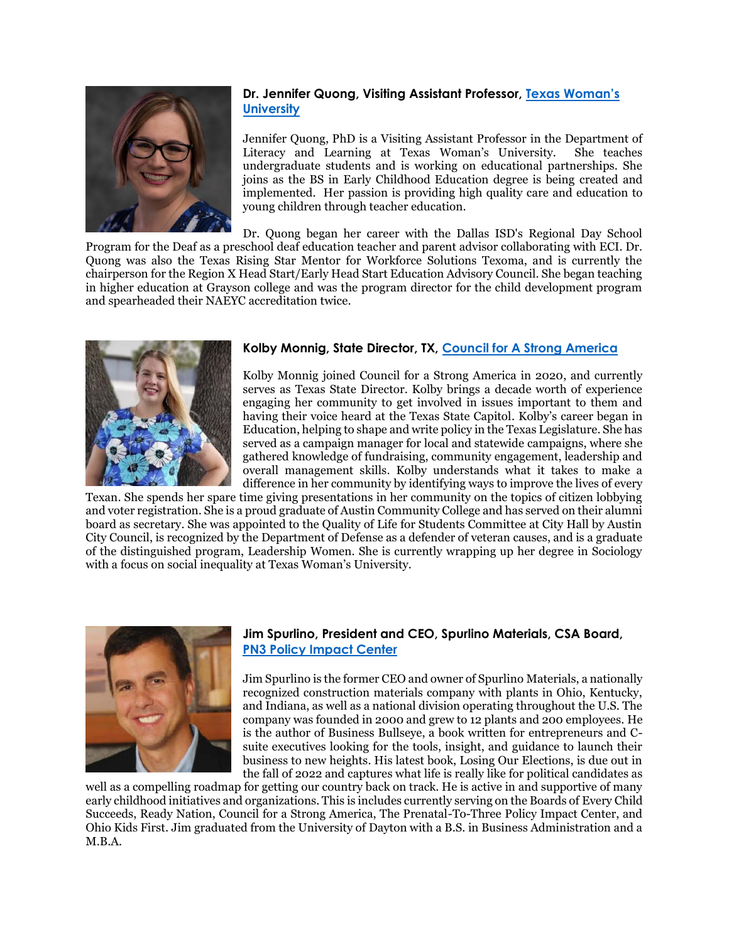

# **Dr. Jennifer Quong, Visiting Assistant Professor, [Texas Wom](https://twu.edu/)an's [University](https://twu.edu/)**

Jennifer Quong, PhD is a Visiting Assistant Professor in the Department of Literacy and Learning at Texas Woman's University. She teaches undergraduate students and is working on educational partnerships. She joins as the BS in Early Childhood Education degree is being created and implemented. Her passion is providing high quality care and education to young children through teacher education.

Dr. Quong began her career with the Dallas ISD's Regional Day School Program for the Deaf as a preschool deaf education teacher and parent advisor collaborating with ECI. Dr. Quong was also the Texas Rising Star Mentor for Workforce Solutions Texoma, and is currently the chairperson for the Region X Head Start/Early Head Start Education Advisory Council. She began teaching in higher education at Grayson college and was the program director for the child development program and spearheaded their NAEYC accreditation twice.



# **Kolby Monnig, State Director, TX, [Council for A Strong America](https://www.strongnation.org/)**

Kolby Monnig joined Council for a Strong America in 2020, and currently serves as Texas State Director. Kolby brings a decade worth of experience engaging her community to get involved in issues important to them and having their voice heard at the Texas State Capitol. Kolby's career began in Education, helping to shape and write policy in the Texas Legislature. She has served as a campaign manager for local and statewide campaigns, where she gathered knowledge of fundraising, community engagement, leadership and overall management skills. Kolby understands what it takes to make a difference in her community by identifying ways to improve the lives of every

Texan. She spends her spare time giving presentations in her community on the topics of citizen lobbying and voter registration. She is a proud graduate of Austin Community College and has served on their alumni board as secretary. She was appointed to the Quality of Life for Students Committee at City Hall by Austin City Council, is recognized by the Department of Defense as a defender of veteran causes, and is a graduate of the distinguished program, Leadership Women. She is currently wrapping up her degree in Sociology with a focus on social inequality at Texas Woman's University.



# **Jim Spurlino, President and CEO, Spurlino Materials, CSA Board, [PN3 Policy Impact Center](https://pn3policy.org/)**

Jim Spurlino is the former CEO and owner of Spurlino Materials, a nationally recognized construction materials company with plants in Ohio, Kentucky, and Indiana, as well as a national division operating throughout the U.S. The company was founded in 2000 and grew to 12 plants and 200 employees. He is the author of Business Bullseye, a book written for entrepreneurs and Csuite executives looking for the tools, insight, and guidance to launch their business to new heights. His latest book, Losing Our Elections, is due out in the fall of 2022 and captures what life is really like for political candidates as

well as a compelling roadmap for getting our country back on track. He is active in and supportive of many early childhood initiatives and organizations. This is includes currently serving on the Boards of Every Child Succeeds, Ready Nation, Council for a Strong America, The Prenatal-To-Three Policy Impact Center, and Ohio Kids First. Jim graduated from the University of Dayton with a B.S. in Business Administration and a M.B.A.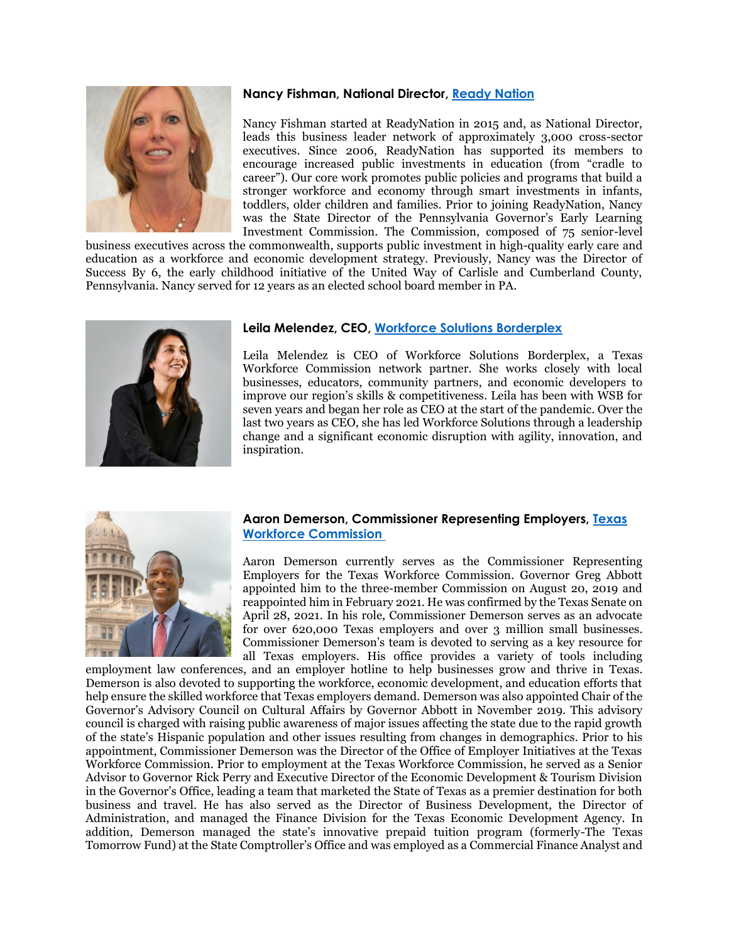#### **Nancy Fishman, National Director, [Ready Nation](https://www.strongnation.org/readynation)**

Nancy Fishman started at ReadyNation in 2015 and, as National Director, leads this business leader network of approximately 3,000 cross-sector executives. Since 2006, ReadyNation has supported its members to encourage increased public investments in education (from "cradle to career"). Our core work promotes public policies and programs that build a stronger workforce and economy through smart investments in infants, toddlers, older children and families. Prior to joining ReadyNation, Nancy was the State Director of the Pennsylvania Governor's Early Learning Investment Commission. The Commission, composed of 75 senior-level

business executives across the commonwealth, supports public investment in high-quality early care and education as a workforce and economic development strategy. Previously, Nancy was the Director of Success By 6, the early childhood initiative of the United Way of Carlisle and Cumberland County, Pennsylvania. Nancy served for 12 years as an elected school board member in PA.



# **Leila Melendez, CEO, [Workforce Solutions Borderplex](http://www.borderplexjobs.com/)**

Leila Melendez is CEO of Workforce Solutions Borderplex, a Texas Workforce Commission network partner. She works closely with local businesses, educators, community partners, and economic developers to improve our region's skills & competitiveness. Leila has been with WSB for seven years and began her role as CEO at the start of the pandemic. Over the last two years as CEO, she has led Workforce Solutions through a leadership change and a significant economic disruption with agility, innovation, and inspiration.



#### **Aaron Demerson, Commissioner Representing Employers, [Texas](https://twc.texas.gov/commissioners)  [Workforce Commission](https://twc.texas.gov/commissioners)**

Aaron Demerson currently serves as the Commissioner Representing Employers for the Texas Workforce Commission. Governor Greg Abbott appointed him to the three-member Commission on August 20, 2019 and reappointed him in February 2021. He was confirmed by the Texas Senate on April 28, 2021. In his role, Commissioner Demerson serves as an advocate for over 620,000 Texas employers and over 3 million small businesses. Commissioner Demerson's team is devoted to serving as a key resource for all Texas employers. His office provides a variety of tools including

employment law conferences, and an employer hotline to help businesses grow and thrive in Texas. Demerson is also devoted to supporting the workforce, economic development, and education efforts that help ensure the skilled workforce that Texas employers demand. Demerson was also appointed Chair of the Governor's Advisory Council on Cultural Affairs by Governor Abbott in November 2019. This advisory council is charged with raising public awareness of major issues affecting the state due to the rapid growth of the state's Hispanic population and other issues resulting from changes in demographics. Prior to his appointment, Commissioner Demerson was the Director of the Office of Employer Initiatives at the Texas Workforce Commission. Prior to employment at the Texas Workforce Commission, he served as a Senior Advisor to Governor Rick Perry and Executive Director of the Economic Development & Tourism Division in the Governor's Office, leading a team that marketed the State of Texas as a premier destination for both business and travel. He has also served as the Director of Business Development, the Director of Administration, and managed the Finance Division for the Texas Economic Development Agency. In addition, Demerson managed the state's innovative prepaid tuition program (formerly-The Texas Tomorrow Fund) at the State Comptroller's Office and was employed as a Commercial Finance Analyst and